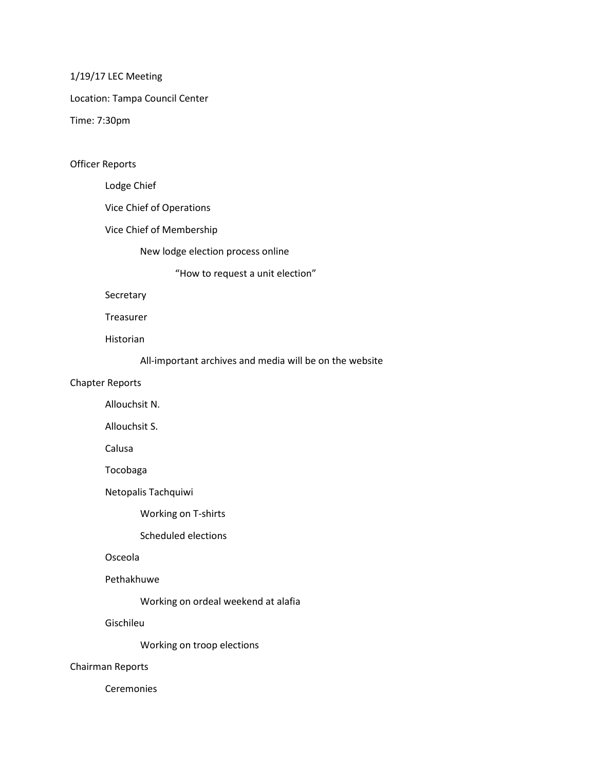1/19/17 LEC Meeting

Location: Tampa Council Center

Time: 7:30pm

#### Officer Reports

Lodge Chief

Vice Chief of Operations

Vice Chief of Membership

New lodge election process online

"How to request a unit election"

**Secretary** 

Treasurer

Historian

All-important archives and media will be on the website

# Chapter Reports

Allouchsit N.

Allouchsit S.

Calusa

Tocobaga

Netopalis Tachquiwi

Working on T-shirts

Scheduled elections

### Osceola

# Pethakhuwe

Working on ordeal weekend at alafia

Gischileu

Working on troop elections

#### Chairman Reports

Ceremonies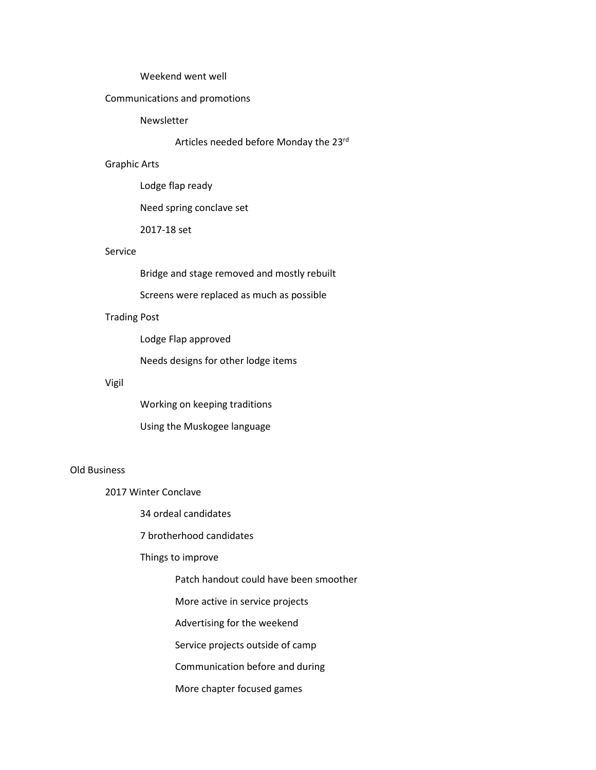### Weekend went well

## Communications and promotions

Newsletter

Articles needed before Monday the 23rd

#### Graphic Arts

Lodge flap ready

Need spring conclave set

2017-18 set

# Service

Bridge and stage removed and mostly rebuilt

Screens were replaced as much as possible

# Trading Post

Lodge Flap approved

Needs designs for other lodge items

#### Vigil

Working on keeping traditions

Using the Muskogee language

### Old Business

2017 Winter Conclave

34 ordeal candidates

7 brotherhood candidates

# Things to improve

Patch handout could have been smoother

More active in service projects

Advertising for the weekend

Service projects outside of camp

Communication before and during

More chapter focused games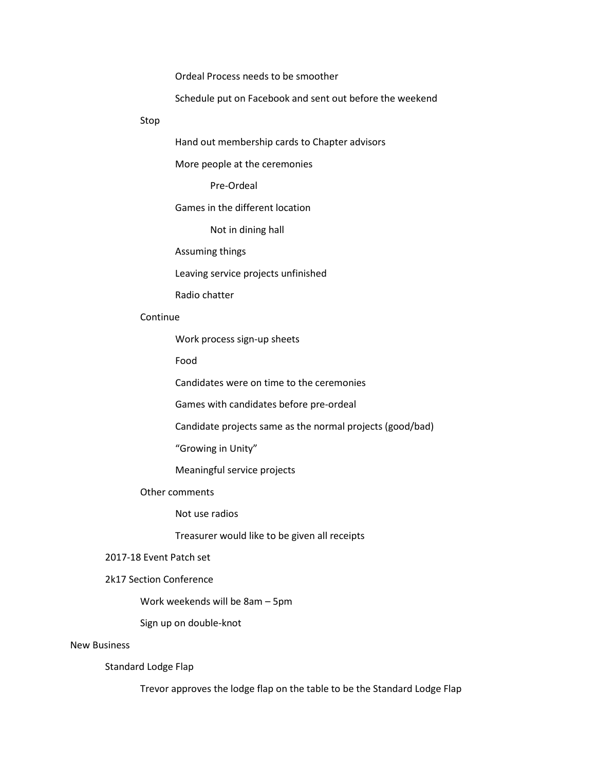Ordeal Process needs to be smoother

Schedule put on Facebook and sent out before the weekend

Stop

Hand out membership cards to Chapter advisors

More people at the ceremonies

Pre-Ordeal

Games in the different location

Not in dining hall

Assuming things

Leaving service projects unfinished

Radio chatter

## Continue

Work process sign-up sheets

Food

Candidates were on time to the ceremonies

Games with candidates before pre-ordeal

Candidate projects same as the normal projects (good/bad)

"Growing in Unity"

Meaningful service projects

#### Other comments

Not use radios

Treasurer would like to be given all receipts

### 2017-18 Event Patch set

2k17 Section Conference

Work weekends will be 8am – 5pm

Sign up on double-knot

#### New Business

Standard Lodge Flap

Trevor approves the lodge flap on the table to be the Standard Lodge Flap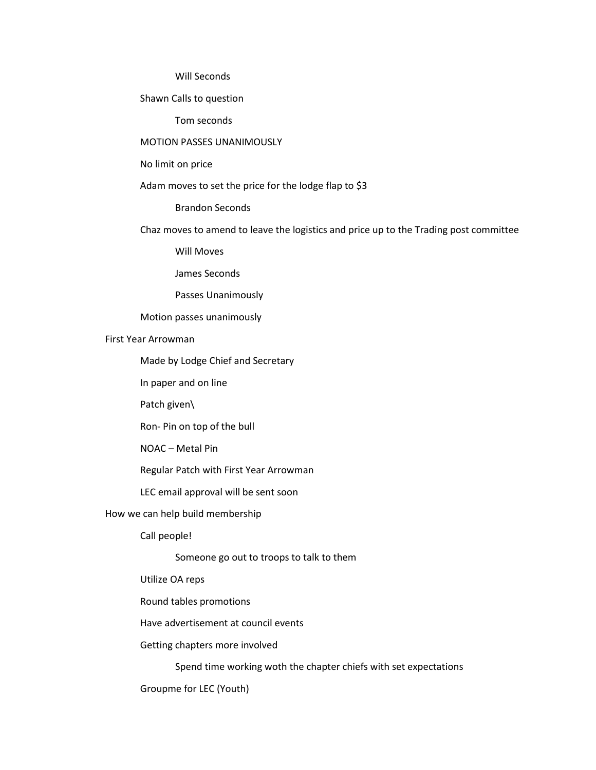Will Seconds

Shawn Calls to question

Tom seconds

### MOTION PASSES UNANIMOUSLY

No limit on price

Adam moves to set the price for the lodge flap to \$3

Brandon Seconds

Chaz moves to amend to leave the logistics and price up to the Trading post committee

Will Moves

James Seconds

Passes Unanimously

Motion passes unanimously

First Year Arrowman

Made by Lodge Chief and Secretary

In paper and on line

Patch given\

Ron- Pin on top of the bull

NOAC – Metal Pin

Regular Patch with First Year Arrowman

LEC email approval will be sent soon

How we can help build membership

Call people!

Someone go out to troops to talk to them

Utilize OA reps

Round tables promotions

Have advertisement at council events

Getting chapters more involved

Spend time working woth the chapter chiefs with set expectations

Groupme for LEC (Youth)